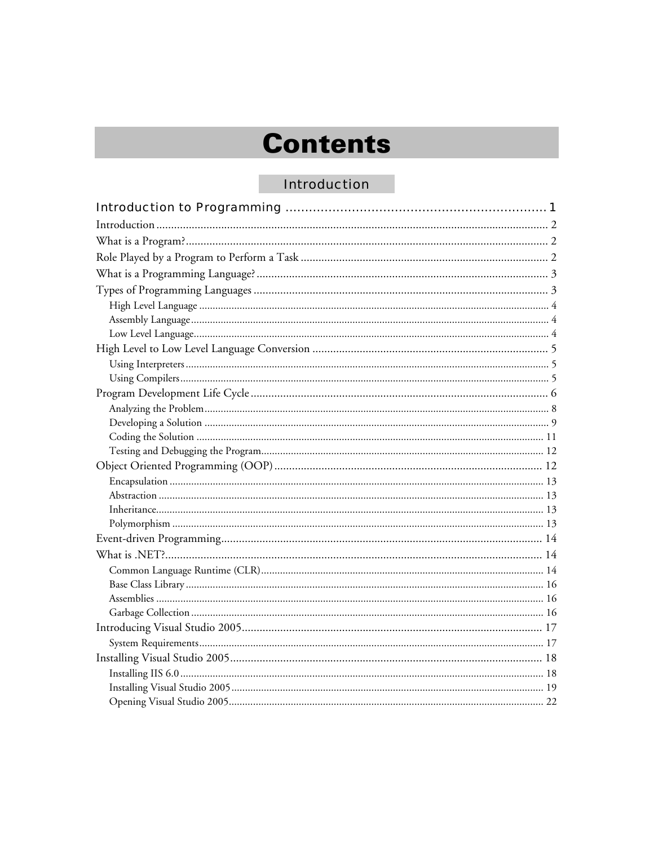# **Contents**

#### **Introduction**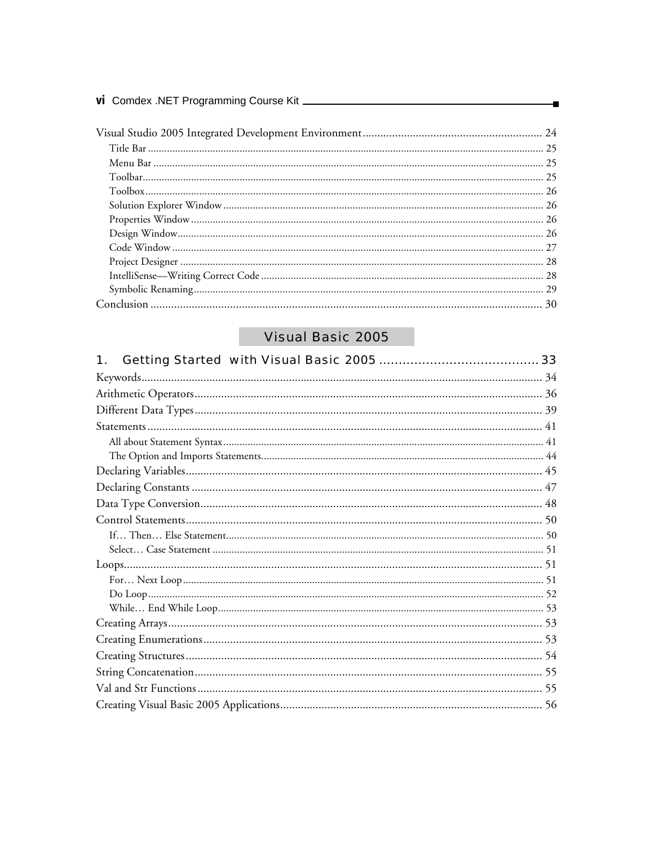| vi Comdex .NET Programming Course Kit _ |  |
|-----------------------------------------|--|
|                                         |  |
|                                         |  |

## Visual Basic 2005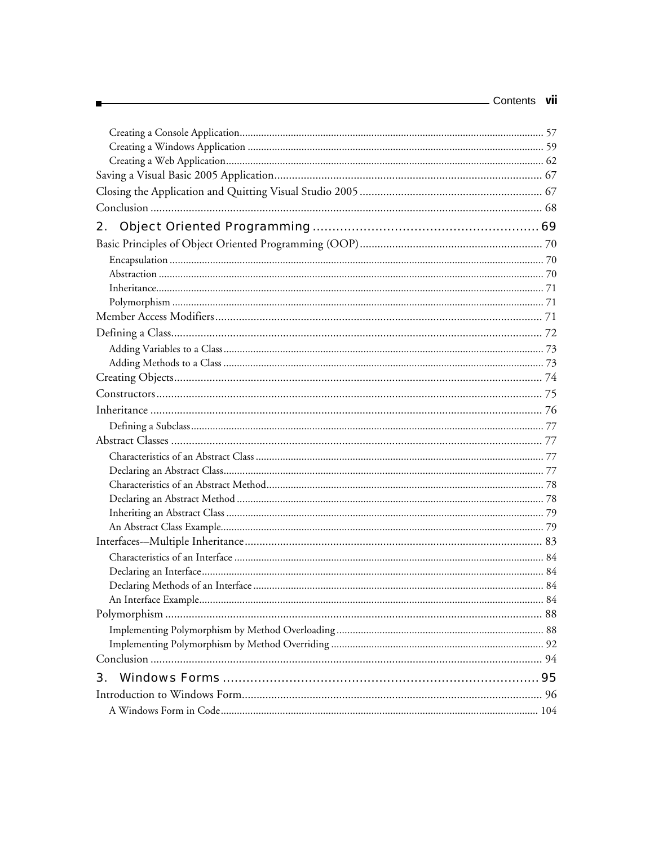| Contents | vii |
|----------|-----|
|          |     |
|          |     |
|          |     |

| 2. |  |
|----|--|
|    |  |
|    |  |
|    |  |
|    |  |
|    |  |
|    |  |
|    |  |
|    |  |
|    |  |
|    |  |
|    |  |
|    |  |
|    |  |
|    |  |
|    |  |
|    |  |
|    |  |
|    |  |
|    |  |
|    |  |
|    |  |
|    |  |
|    |  |
|    |  |
|    |  |
|    |  |
|    |  |
|    |  |
|    |  |
|    |  |
| 3. |  |
|    |  |
|    |  |

Е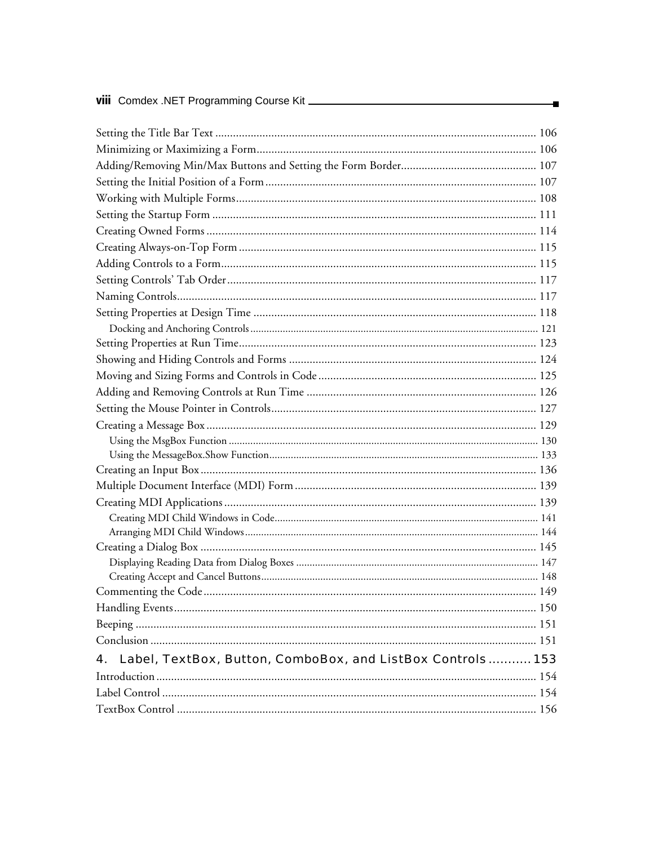| 4. Label, TextBox, Button, ComboBox, and ListBox Controls 153 |  |
|---------------------------------------------------------------|--|
|                                                               |  |
|                                                               |  |
|                                                               |  |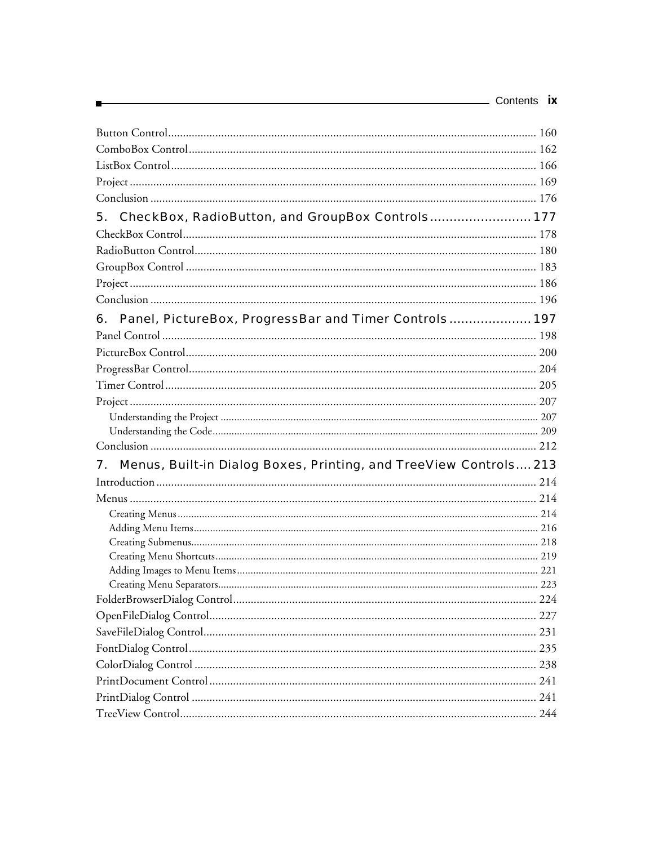|                                                                         | Contents <b>ix</b> |
|-------------------------------------------------------------------------|--------------------|
|                                                                         |                    |
|                                                                         |                    |
|                                                                         |                    |
|                                                                         |                    |
|                                                                         |                    |
| CheckBox, RadioButton, and GroupBox Controls 177<br>5.                  |                    |
|                                                                         |                    |
|                                                                         |                    |
|                                                                         |                    |
|                                                                         |                    |
|                                                                         |                    |
| Panel, PictureBox, ProgressBar and Timer Controls 197<br>6.             |                    |
|                                                                         |                    |
|                                                                         |                    |
|                                                                         |                    |
|                                                                         |                    |
|                                                                         |                    |
|                                                                         |                    |
|                                                                         |                    |
|                                                                         |                    |
| Menus, Built-in Dialog Boxes, Printing, and TreeView Controls 213<br>7. |                    |
|                                                                         |                    |
|                                                                         |                    |
|                                                                         |                    |
|                                                                         |                    |
|                                                                         |                    |
|                                                                         |                    |
|                                                                         |                    |
|                                                                         |                    |
|                                                                         |                    |
|                                                                         |                    |
|                                                                         |                    |
|                                                                         |                    |
|                                                                         |                    |
|                                                                         |                    |
|                                                                         |                    |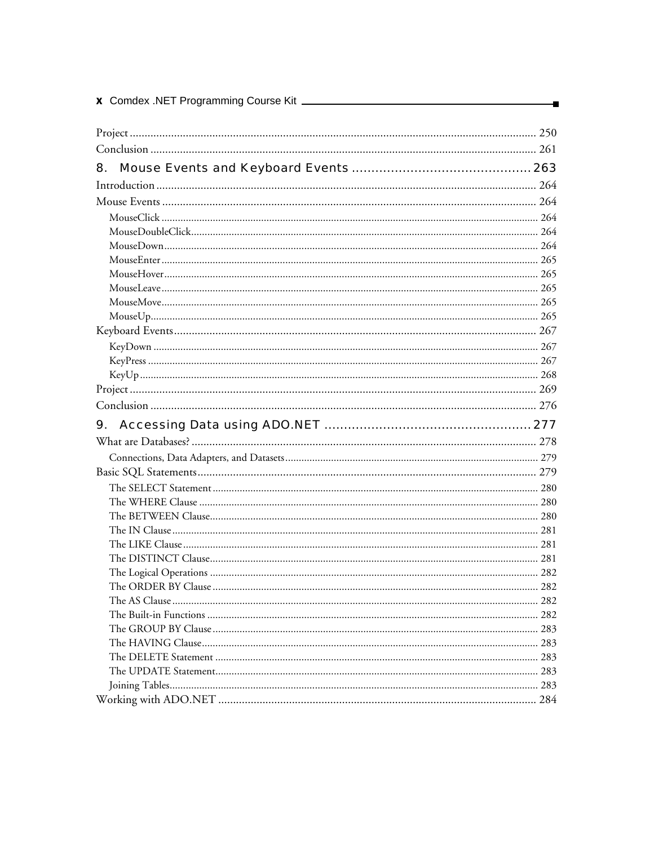| 8. |  |
|----|--|
|    |  |
|    |  |
|    |  |
|    |  |
|    |  |
|    |  |
|    |  |
|    |  |
|    |  |
|    |  |
|    |  |
|    |  |
|    |  |
|    |  |
|    |  |
|    |  |
|    |  |
|    |  |
|    |  |
|    |  |
|    |  |
|    |  |
|    |  |
|    |  |
|    |  |
|    |  |
|    |  |
|    |  |
|    |  |
|    |  |
|    |  |
|    |  |
|    |  |
|    |  |
|    |  |
|    |  |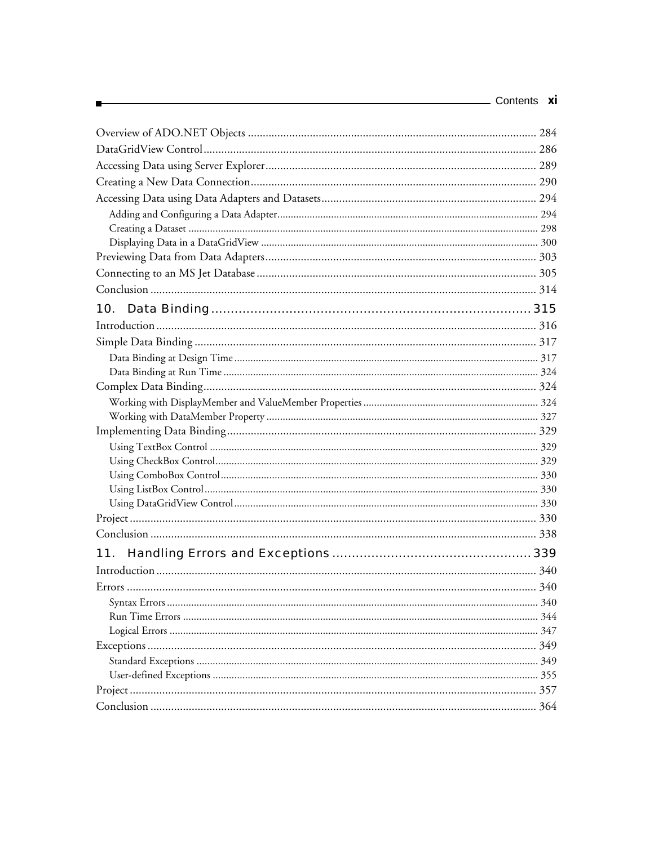| 10. |     |
|-----|-----|
|     |     |
|     |     |
|     |     |
|     |     |
|     |     |
|     |     |
|     |     |
|     |     |
|     |     |
|     |     |
|     |     |
|     |     |
|     |     |
|     |     |
|     |     |
| 11. |     |
|     |     |
|     |     |
|     |     |
|     |     |
|     |     |
|     |     |
|     |     |
|     |     |
|     | 357 |
|     | 364 |

Е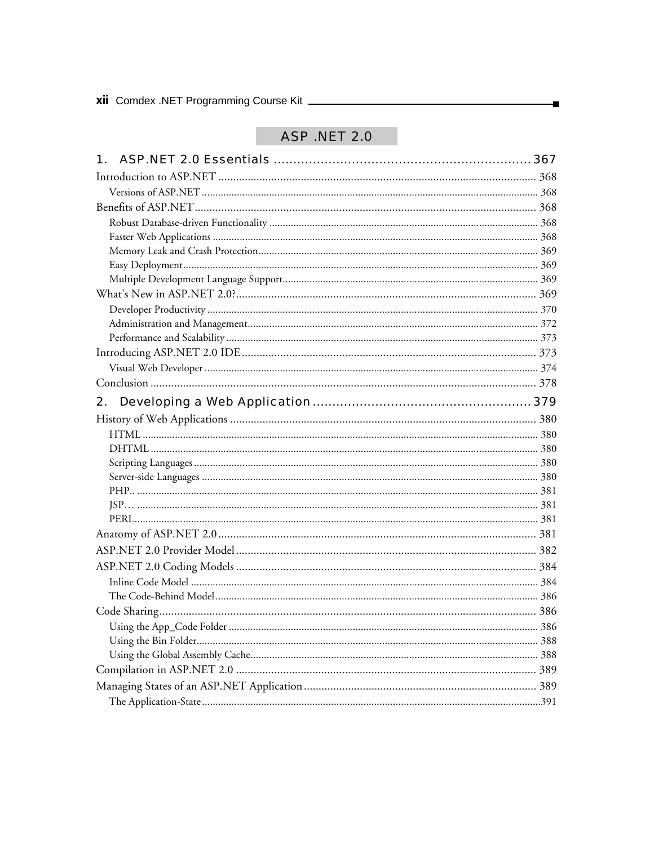### **ASP .NET 2.0**

×

| 2. |  |
|----|--|
|    |  |
|    |  |
|    |  |
|    |  |
|    |  |
|    |  |
|    |  |
|    |  |
|    |  |
|    |  |
|    |  |
|    |  |
|    |  |
|    |  |
|    |  |
|    |  |
|    |  |
|    |  |
|    |  |
|    |  |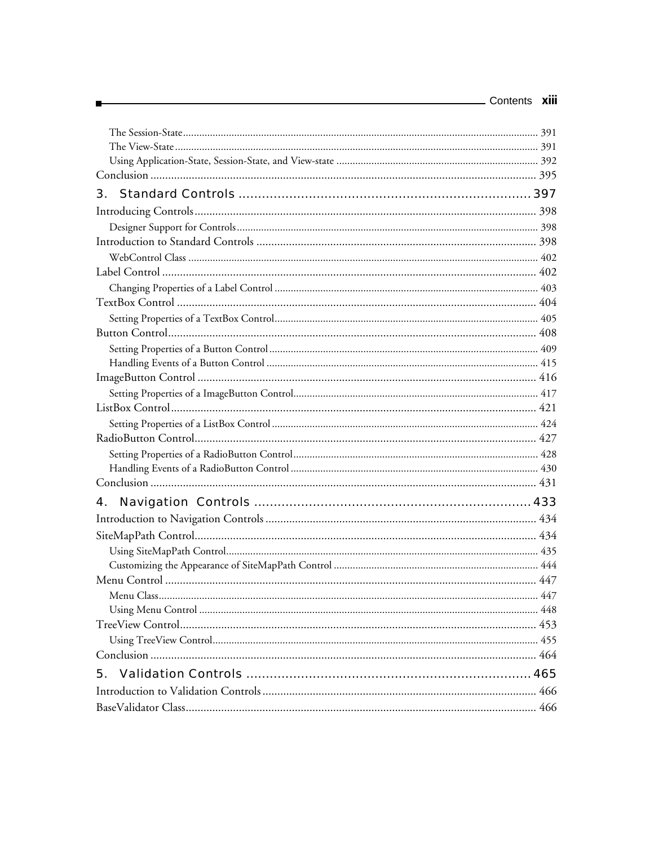| Contents XIII |  |
|---------------|--|
|               |  |
|               |  |
|               |  |
|               |  |
|               |  |
|               |  |
|               |  |
|               |  |
|               |  |
|               |  |
|               |  |
|               |  |
|               |  |
|               |  |
|               |  |
|               |  |
|               |  |
|               |  |
|               |  |
|               |  |
|               |  |
|               |  |
|               |  |
|               |  |
| 4.            |  |
|               |  |
|               |  |
|               |  |
|               |  |
|               |  |
|               |  |
|               |  |
|               |  |
|               |  |
|               |  |
|               |  |
|               |  |
|               |  |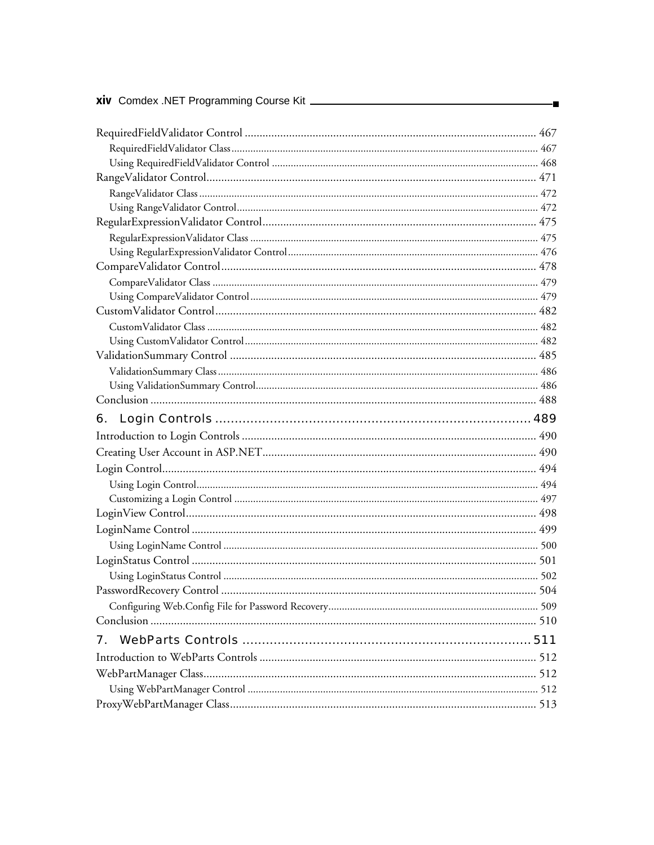| xiv Comdex .NET Programming Course Kit _______ |  |
|------------------------------------------------|--|
|                                                |  |
|                                                |  |
|                                                |  |
|                                                |  |
|                                                |  |
|                                                |  |
|                                                |  |
|                                                |  |
|                                                |  |
|                                                |  |
|                                                |  |
|                                                |  |
|                                                |  |
|                                                |  |
|                                                |  |
|                                                |  |
|                                                |  |
|                                                |  |
|                                                |  |
| 6.                                             |  |
|                                                |  |
|                                                |  |
|                                                |  |
|                                                |  |
|                                                |  |
|                                                |  |
|                                                |  |
|                                                |  |
|                                                |  |
|                                                |  |
|                                                |  |
|                                                |  |
|                                                |  |
| 7.                                             |  |
|                                                |  |
|                                                |  |
|                                                |  |
|                                                |  |
|                                                |  |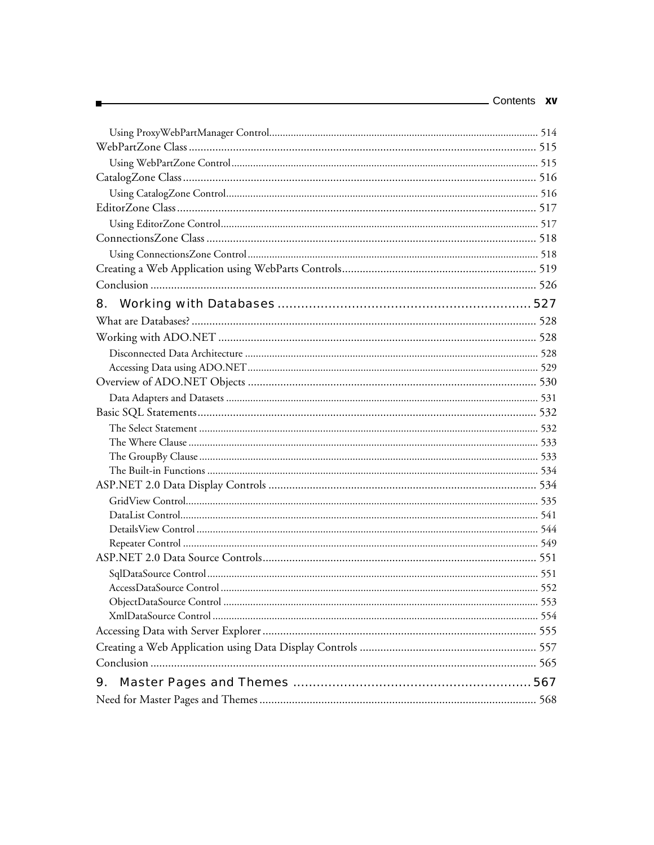| 8. |  |
|----|--|
|    |  |
|    |  |
|    |  |
|    |  |
|    |  |
|    |  |
|    |  |
|    |  |
|    |  |
|    |  |
|    |  |
|    |  |
|    |  |
|    |  |
|    |  |
|    |  |
|    |  |
|    |  |
|    |  |
|    |  |
|    |  |
|    |  |
|    |  |
|    |  |
| 9. |  |
|    |  |
|    |  |

п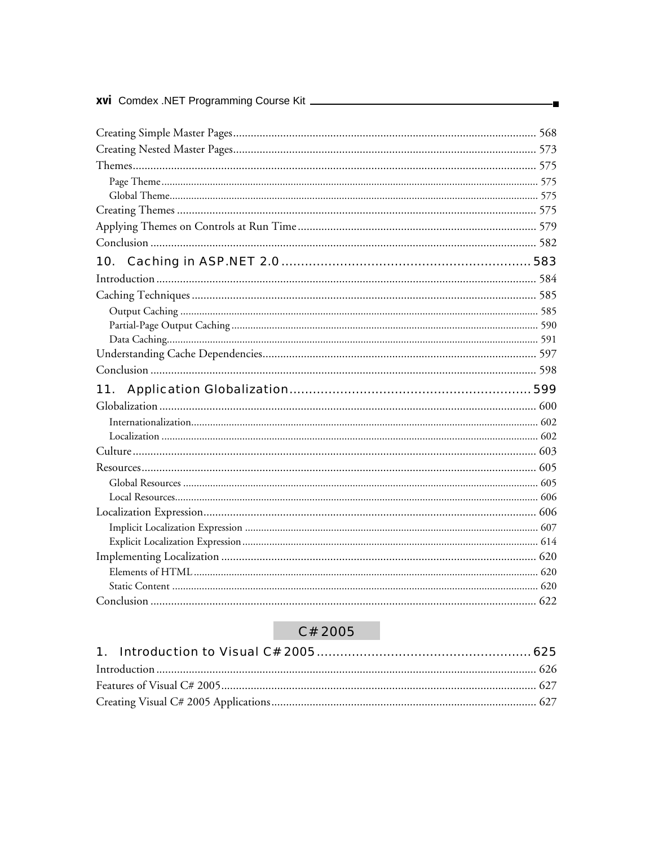| xvi Comdex .NET Programming Course Kit _______ |  |
|------------------------------------------------|--|
|                                                |  |
|                                                |  |
|                                                |  |
|                                                |  |
|                                                |  |
|                                                |  |
|                                                |  |
|                                                |  |
|                                                |  |
| 10.                                            |  |
|                                                |  |
|                                                |  |
|                                                |  |
|                                                |  |
|                                                |  |
|                                                |  |
|                                                |  |
| 11.                                            |  |
|                                                |  |
|                                                |  |
|                                                |  |
|                                                |  |
|                                                |  |
|                                                |  |
|                                                |  |
|                                                |  |
|                                                |  |
|                                                |  |
|                                                |  |
|                                                |  |
|                                                |  |
|                                                |  |

#### C# 2005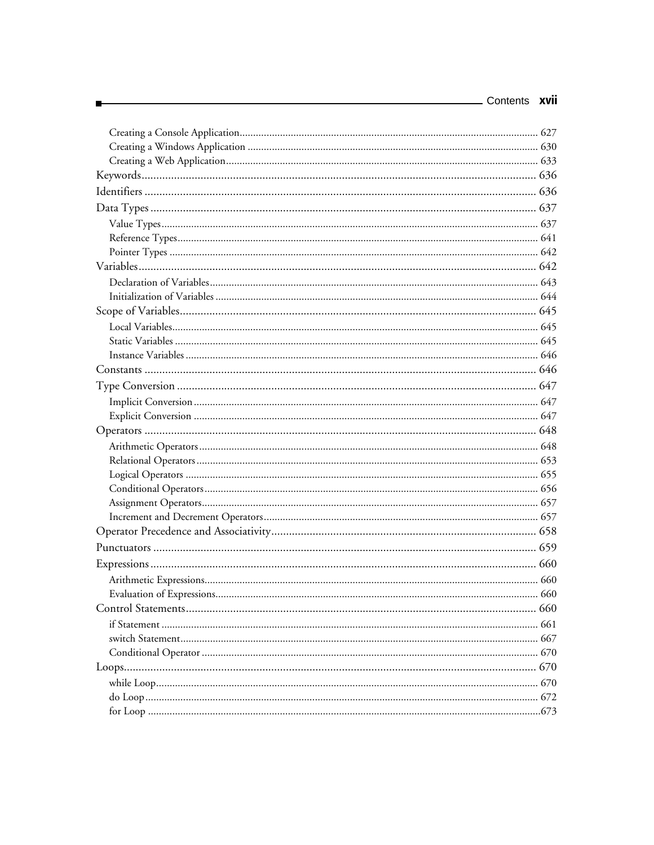| - Contents <b>xvii</b> |  |
|------------------------|--|
|                        |  |
|                        |  |
|                        |  |
|                        |  |
|                        |  |
|                        |  |
|                        |  |
|                        |  |
|                        |  |
|                        |  |
|                        |  |
|                        |  |
|                        |  |
|                        |  |
|                        |  |
|                        |  |
|                        |  |
|                        |  |
|                        |  |
|                        |  |
|                        |  |
|                        |  |
|                        |  |
|                        |  |
|                        |  |
|                        |  |
|                        |  |
|                        |  |
|                        |  |
|                        |  |
|                        |  |
|                        |  |
|                        |  |
|                        |  |
|                        |  |
|                        |  |
|                        |  |
|                        |  |
|                        |  |
|                        |  |
|                        |  |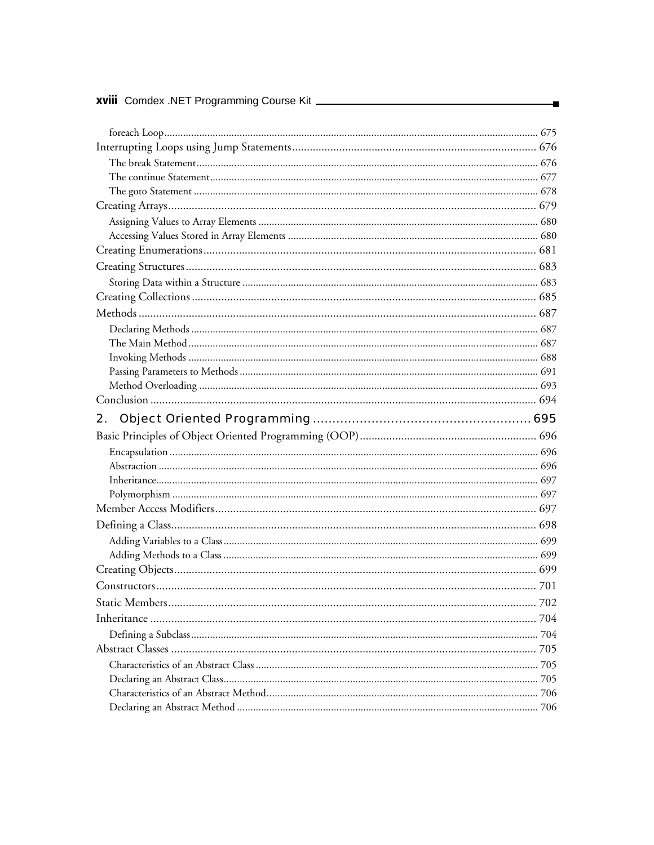| <b>xviii</b> Comdex .NET Programming Course Kit ________ |  |
|----------------------------------------------------------|--|
|                                                          |  |
|                                                          |  |
|                                                          |  |
|                                                          |  |
|                                                          |  |
|                                                          |  |
|                                                          |  |
|                                                          |  |
|                                                          |  |
|                                                          |  |
|                                                          |  |
|                                                          |  |
|                                                          |  |
|                                                          |  |
|                                                          |  |
|                                                          |  |
|                                                          |  |
|                                                          |  |
|                                                          |  |
|                                                          |  |
|                                                          |  |
| 2.                                                       |  |
|                                                          |  |
|                                                          |  |
|                                                          |  |
|                                                          |  |
|                                                          |  |
|                                                          |  |
|                                                          |  |
|                                                          |  |
|                                                          |  |
|                                                          |  |
|                                                          |  |
|                                                          |  |
|                                                          |  |
|                                                          |  |
|                                                          |  |
|                                                          |  |
|                                                          |  |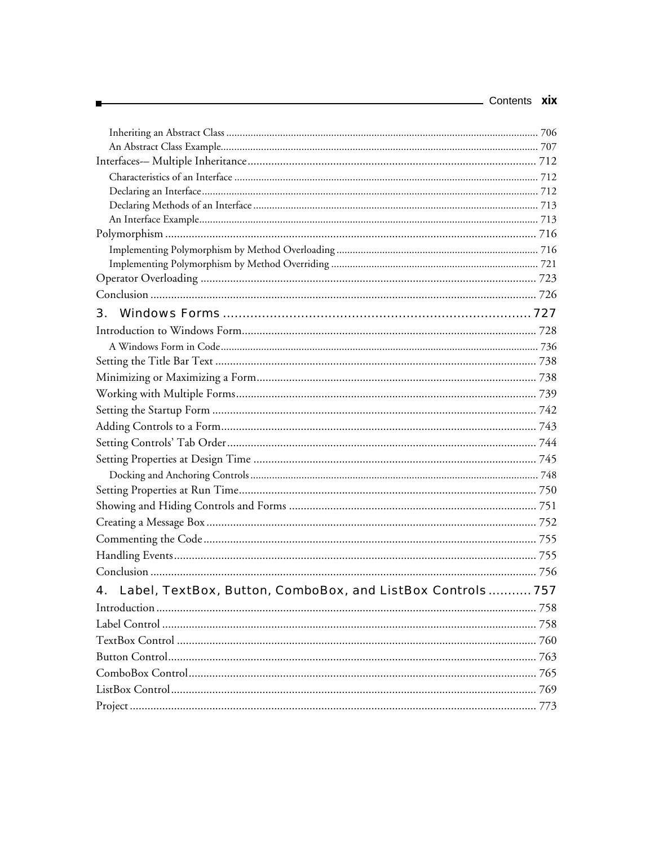| Contents <b>XIX</b>                                              |  |
|------------------------------------------------------------------|--|
|                                                                  |  |
|                                                                  |  |
|                                                                  |  |
|                                                                  |  |
|                                                                  |  |
|                                                                  |  |
|                                                                  |  |
|                                                                  |  |
|                                                                  |  |
|                                                                  |  |
|                                                                  |  |
|                                                                  |  |
| 3.                                                               |  |
|                                                                  |  |
|                                                                  |  |
|                                                                  |  |
|                                                                  |  |
|                                                                  |  |
|                                                                  |  |
|                                                                  |  |
|                                                                  |  |
|                                                                  |  |
|                                                                  |  |
|                                                                  |  |
|                                                                  |  |
|                                                                  |  |
|                                                                  |  |
|                                                                  |  |
|                                                                  |  |
| Label, TextBox, Button, ComboBox, and ListBox Controls 757<br>4. |  |
|                                                                  |  |
|                                                                  |  |
|                                                                  |  |
|                                                                  |  |
|                                                                  |  |
|                                                                  |  |
|                                                                  |  |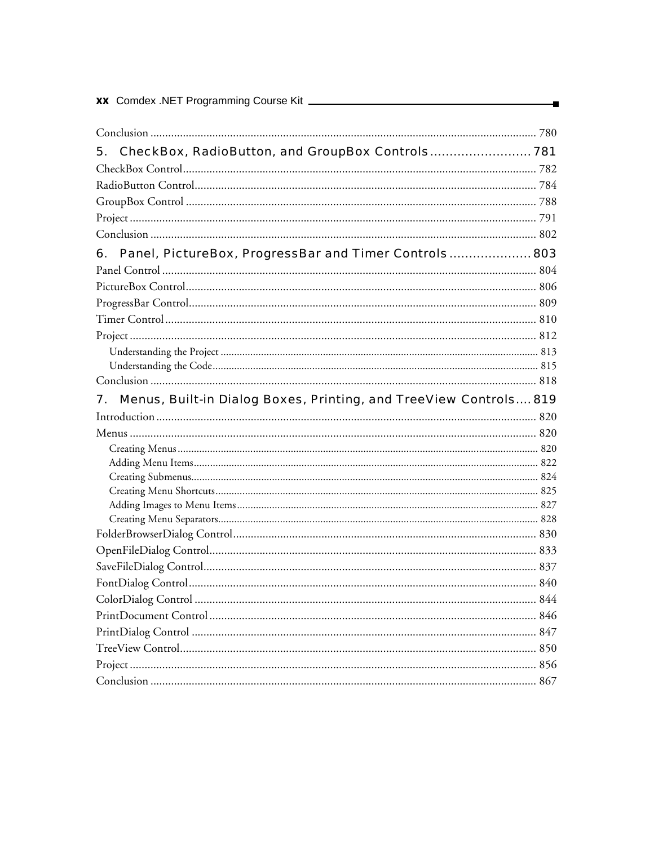| XX Comdex .NET Programming Course Kit                                   |  |
|-------------------------------------------------------------------------|--|
|                                                                         |  |
| CheckBox, RadioButton, and GroupBox Controls 781<br>5.                  |  |
|                                                                         |  |
|                                                                         |  |
|                                                                         |  |
|                                                                         |  |
|                                                                         |  |
| Panel, PictureBox, ProgressBar and Timer Controls 803<br>6.             |  |
|                                                                         |  |
|                                                                         |  |
|                                                                         |  |
|                                                                         |  |
|                                                                         |  |
|                                                                         |  |
|                                                                         |  |
|                                                                         |  |
| Menus, Built-in Dialog Boxes, Printing, and TreeView Controls 819<br>7. |  |
|                                                                         |  |
|                                                                         |  |
|                                                                         |  |
|                                                                         |  |
|                                                                         |  |
|                                                                         |  |
|                                                                         |  |
|                                                                         |  |
|                                                                         |  |
|                                                                         |  |
|                                                                         |  |
|                                                                         |  |
|                                                                         |  |
|                                                                         |  |
|                                                                         |  |
|                                                                         |  |
|                                                                         |  |
|                                                                         |  |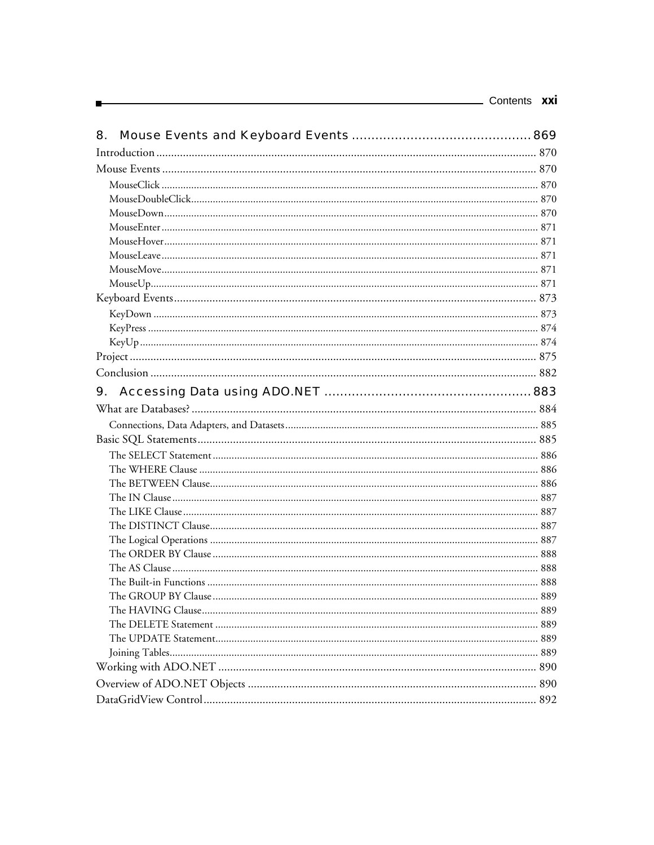| Contents <b>XXI</b> |  |
|---------------------|--|
|                     |  |

| 8. |  |
|----|--|
|    |  |
|    |  |
|    |  |
|    |  |
|    |  |
|    |  |
|    |  |
|    |  |
|    |  |
|    |  |
|    |  |
|    |  |
|    |  |
|    |  |
|    |  |
|    |  |
| 9. |  |
|    |  |
|    |  |
|    |  |
|    |  |
|    |  |
|    |  |
|    |  |
|    |  |
|    |  |
|    |  |
|    |  |
|    |  |
|    |  |
|    |  |
|    |  |
|    |  |
|    |  |
|    |  |
|    |  |
|    |  |
|    |  |